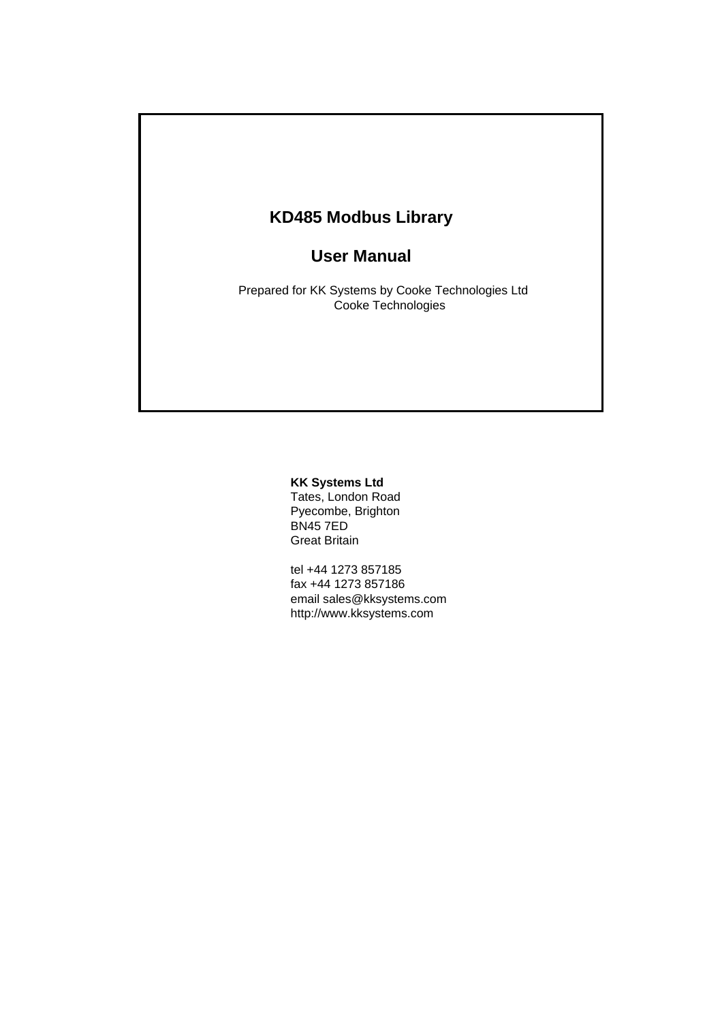# **KD485 Modbus Library**

# **User Manual**

Prepared for KK Systems by Cooke Technologies Ltd © Cooke Technologies

#### **KK Systems Ltd**

 Tates, London Road Pyecombe, Brighton BN45 7ED Great Britain

 tel +44 1273 857185 fax +44 1273 857186 email sales@kksystems.com http://www.kksystems.com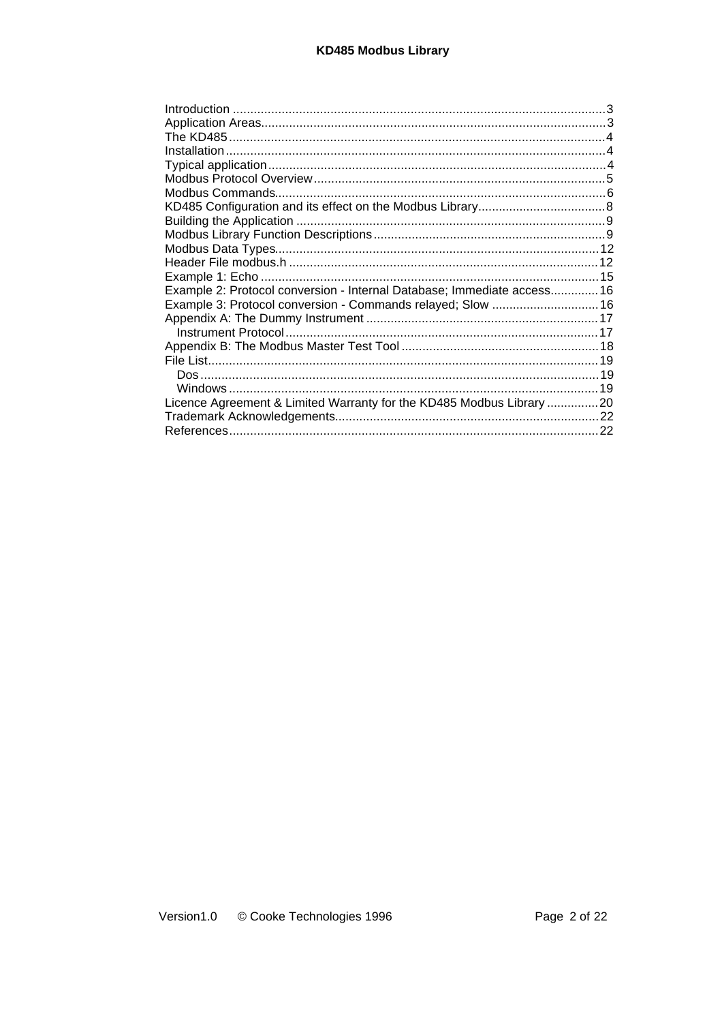| Example 2: Protocol conversion - Internal Database; Immediate access 16 |  |
|-------------------------------------------------------------------------|--|
| Example 3: Protocol conversion - Commands relayed; Slow  16             |  |
|                                                                         |  |
|                                                                         |  |
|                                                                         |  |
|                                                                         |  |
|                                                                         |  |
|                                                                         |  |
| Licence Agreement & Limited Warranty for the KD485 Modbus Library 20    |  |
|                                                                         |  |
|                                                                         |  |
|                                                                         |  |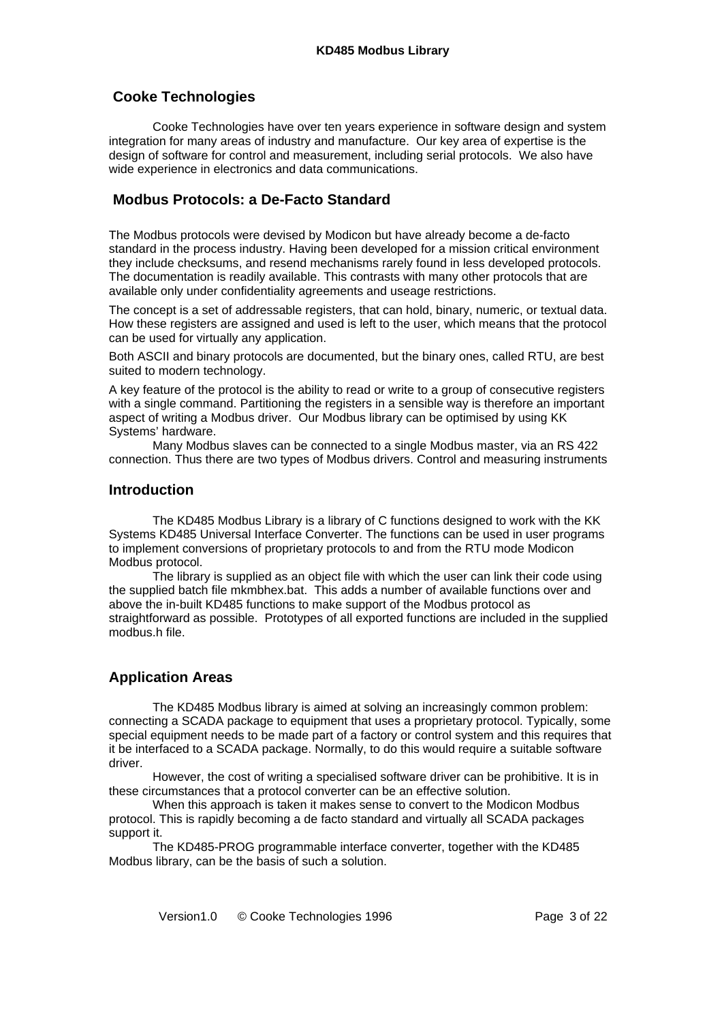### **Cooke Technologies**

Cooke Technologies have over ten years experience in software design and system integration for many areas of industry and manufacture. Our key area of expertise is the design of software for control and measurement, including serial protocols. We also have wide experience in electronics and data communications.

# **Modbus Protocols: a De-Facto Standard**

The Modbus protocols were devised by Modicon but have already become a de-facto standard in the process industry. Having been developed for a mission critical environment they include checksums, and resend mechanisms rarely found in less developed protocols. The documentation is readily available. This contrasts with many other protocols that are available only under confidentiality agreements and useage restrictions.

The concept is a set of addressable registers, that can hold, binary, numeric, or textual data. How these registers are assigned and used is left to the user, which means that the protocol can be used for virtually any application.

Both ASCII and binary protocols are documented, but the binary ones, called RTU, are best suited to modern technology.

A key feature of the protocol is the ability to read or write to a group of consecutive registers with a single command. Partitioning the registers in a sensible way is therefore an important aspect of writing a Modbus driver. Our Modbus library can be optimised by using KK Systems' hardware.

Many Modbus slaves can be connected to a single Modbus master, via an RS 422 connection. Thus there are two types of Modbus drivers. Control and measuring instruments

#### **Introduction**

The KD485 Modbus Library is a library of C functions designed to work with the KK Systems KD485 Universal Interface Converter. The functions can be used in user programs to implement conversions of proprietary protocols to and from the RTU mode Modicon Modbus protocol.

The library is supplied as an object file with which the user can link their code using the supplied batch file mkmbhex.bat. This adds a number of available functions over and above the in-built KD485 functions to make support of the Modbus protocol as straightforward as possible. Prototypes of all exported functions are included in the supplied modbus.h file.

# **Application Areas**

The KD485 Modbus library is aimed at solving an increasingly common problem: connecting a SCADA package to equipment that uses a proprietary protocol. Typically, some special equipment needs to be made part of a factory or control system and this requires that it be interfaced to a SCADA package. Normally, to do this would require a suitable software driver.

However, the cost of writing a specialised software driver can be prohibitive. It is in these circumstances that a protocol converter can be an effective solution.

When this approach is taken it makes sense to convert to the Modicon Modbus protocol. This is rapidly becoming a de facto standard and virtually all SCADA packages support it.

The KD485-PROG programmable interface converter, together with the KD485 Modbus library, can be the basis of such a solution.

Version1.0 © Cooke Technologies 1996 **Page 3 of 22**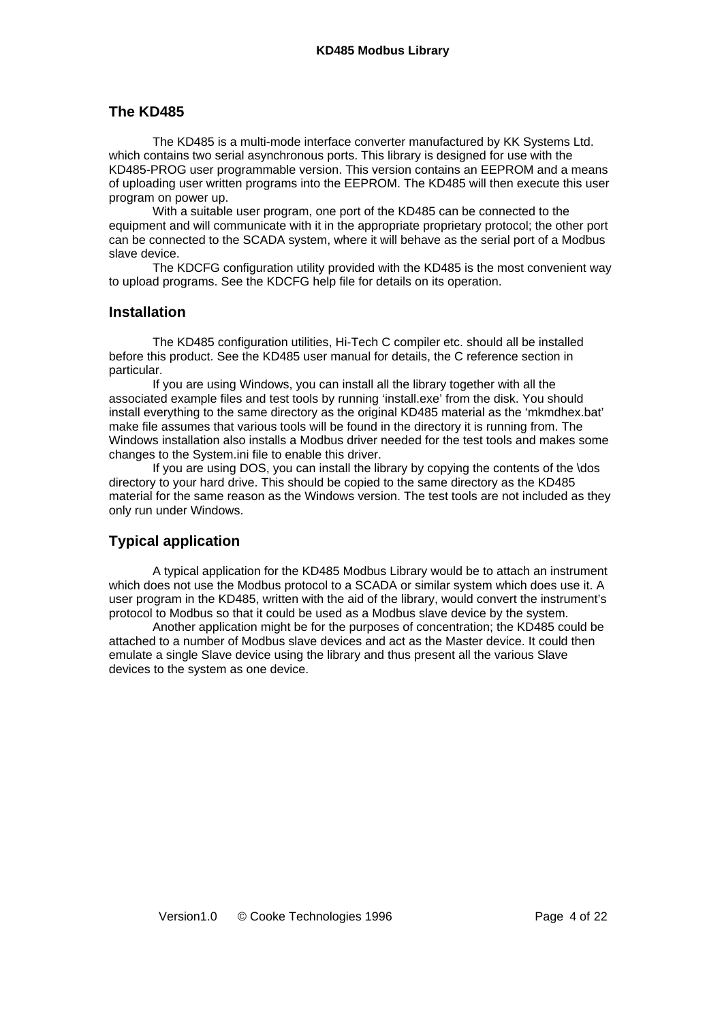# **The KD485**

The KD485 is a multi-mode interface converter manufactured by KK Systems Ltd. which contains two serial asynchronous ports. This library is designed for use with the KD485-PROG user programmable version. This version contains an EEPROM and a means of uploading user written programs into the EEPROM. The KD485 will then execute this user program on power up.

With a suitable user program, one port of the KD485 can be connected to the equipment and will communicate with it in the appropriate proprietary protocol; the other port can be connected to the SCADA system, where it will behave as the serial port of a Modbus slave device.

The KDCFG configuration utility provided with the KD485 is the most convenient way to upload programs. See the KDCFG help file for details on its operation.

### **Installation**

The KD485 configuration utilities, Hi-Tech C compiler etc. should all be installed before this product. See the KD485 user manual for details, the C reference section in particular.

If you are using Windows, you can install all the library together with all the associated example files and test tools by running 'install.exe' from the disk. You should install everything to the same directory as the original KD485 material as the 'mkmdhex.bat' make file assumes that various tools will be found in the directory it is running from. The Windows installation also installs a Modbus driver needed for the test tools and makes some changes to the System.ini file to enable this driver.

If you are using DOS, you can install the library by copying the contents of the \dos directory to your hard drive. This should be copied to the same directory as the KD485 material for the same reason as the Windows version. The test tools are not included as they only run under Windows.

# **Typical application**

A typical application for the KD485 Modbus Library would be to attach an instrument which does not use the Modbus protocol to a SCADA or similar system which does use it. A user program in the KD485, written with the aid of the library, would convert the instrument's protocol to Modbus so that it could be used as a Modbus slave device by the system.

Another application might be for the purposes of concentration; the KD485 could be attached to a number of Modbus slave devices and act as the Master device. It could then emulate a single Slave device using the library and thus present all the various Slave devices to the system as one device.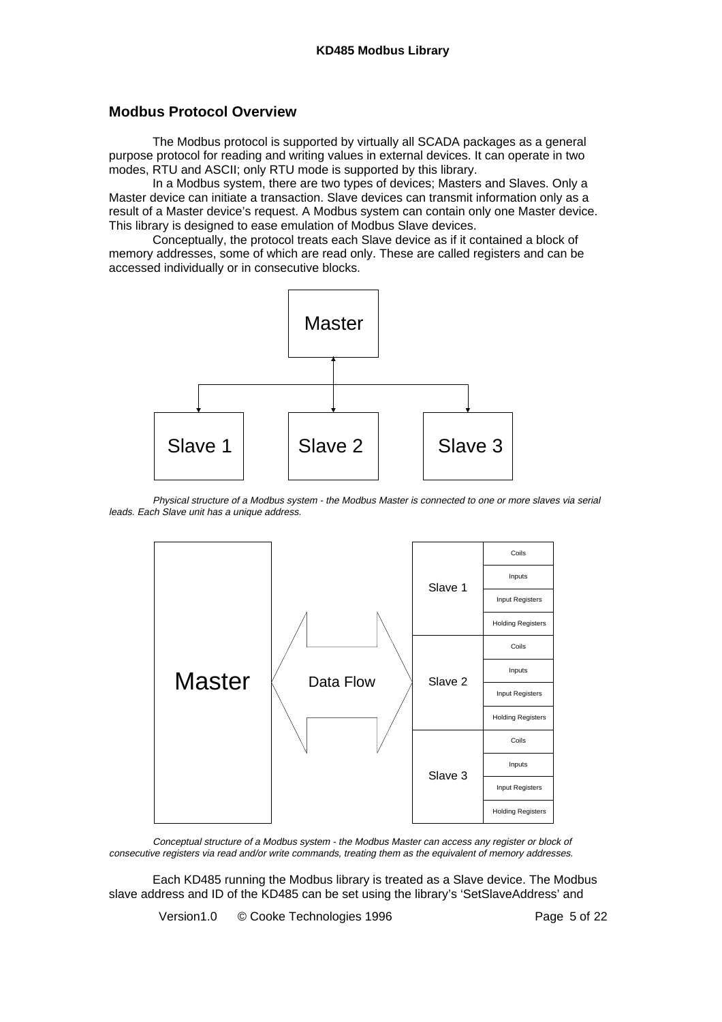#### **Modbus Protocol Overview**

The Modbus protocol is supported by virtually all SCADA packages as a general purpose protocol for reading and writing values in external devices. It can operate in two modes, RTU and ASCII; only RTU mode is supported by this library.

In a Modbus system, there are two types of devices; Masters and Slaves. Only a Master device can initiate a transaction. Slave devices can transmit information only as a result of a Master device's request. A Modbus system can contain only one Master device. This library is designed to ease emulation of Modbus Slave devices.

Conceptually, the protocol treats each Slave device as if it contained a block of memory addresses, some of which are read only. These are called registers and can be accessed individually or in consecutive blocks.







Conceptual structure of a Modbus system - the Modbus Master can access any register or block of consecutive registers via read and/or write commands, treating them as the equivalent of memory addresses.

Each KD485 running the Modbus library is treated as a Slave device. The Modbus slave address and ID of the KD485 can be set using the library's 'SetSlaveAddress' and

Version1.0 © Cooke Technologies 1996 **Page 5 of 22**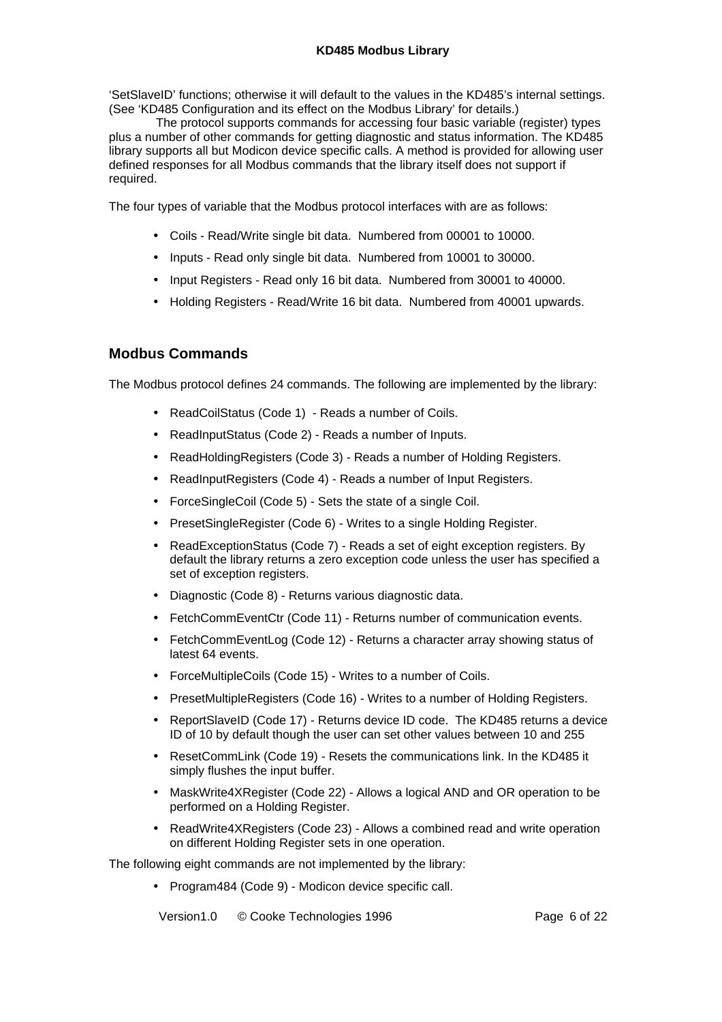#### **KD485 Modbus Library**

'SetSlaveID' functions; otherwise it will default to the values in the KD485's internal settings. (See 'KD485 Configuration and its effect on the Modbus Library' for details.)

 The protocol supports commands for accessing four basic variable (register) types plus a number of other commands for getting diagnostic and status information. The KD485 library supports all but Modicon device specific calls. A method is provided for allowing user defined responses for all Modbus commands that the library itself does not support if required.

The four types of variable that the Modbus protocol interfaces with are as follows:

- Coils Read/Write single bit data. Numbered from 00001 to 10000.
- Inputs Read only single bit data. Numbered from 10001 to 30000.
- Input Registers Read only 16 bit data. Numbered from 30001 to 40000.
- Holding Registers Read/Write 16 bit data. Numbered from 40001 upwards.

# **Modbus Commands**

The Modbus protocol defines 24 commands. The following are implemented by the library:

- ReadCoilStatus (Code 1) Reads a number of Coils.
- ReadInputStatus (Code 2) Reads a number of Inputs.
- ReadHoldingRegisters (Code 3) Reads a number of Holding Registers.
- ReadInputRegisters (Code 4) Reads a number of Input Registers.
- ForceSingleCoil (Code 5) Sets the state of a single Coil.
- PresetSingleRegister (Code 6) Writes to a single Holding Register.
- ReadExceptionStatus (Code 7) Reads a set of eight exception registers. By default the library returns a zero exception code unless the user has specified a set of exception registers.
- Diagnostic (Code 8) Returns various diagnostic data.
- FetchCommEventCtr (Code 11) Returns number of communication events.
- FetchCommEventLog (Code 12) Returns a character array showing status of latest 64 events.
- ForceMultipleCoils (Code 15) Writes to a number of Coils.
- PresetMultipleRegisters (Code 16) Writes to a number of Holding Registers.
- ReportSlaveID (Code 17) Returns device ID code. The KD485 returns a device ID of 10 by default though the user can set other values between 10 and 255
- ResetCommLink (Code 19) Resets the communications link. In the KD485 it simply flushes the input buffer.
- MaskWrite4XRegister (Code 22) Allows a logical AND and OR operation to be performed on a Holding Register.
- ReadWrite4XRegisters (Code 23) Allows a combined read and write operation on different Holding Register sets in one operation.

The following eight commands are not implemented by the library:

• Program484 (Code 9) - Modicon device specific call.

Version1.0 © Cooke Technologies 1996 **Page 6 of 22**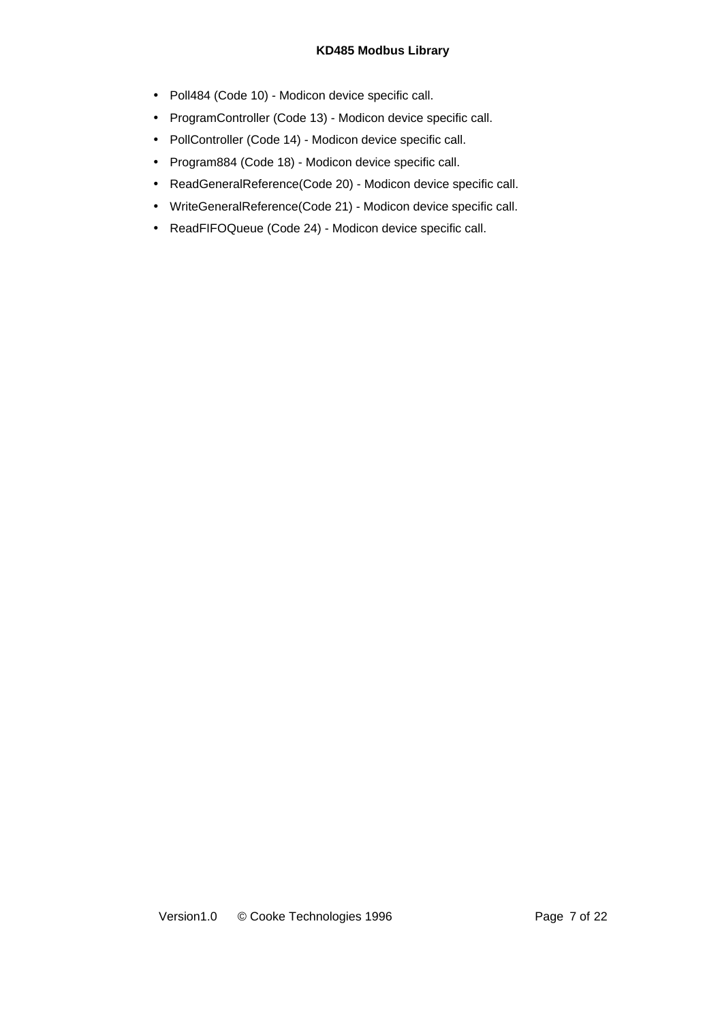- Poll484 (Code 10) Modicon device specific call.
- ProgramController (Code 13) Modicon device specific call.
- PollController (Code 14) Modicon device specific call.
- Program884 (Code 18) Modicon device specific call.
- ReadGeneralReference(Code 20) Modicon device specific call.
- WriteGeneralReference(Code 21) Modicon device specific call.
- ReadFIFOQueue (Code 24) Modicon device specific call.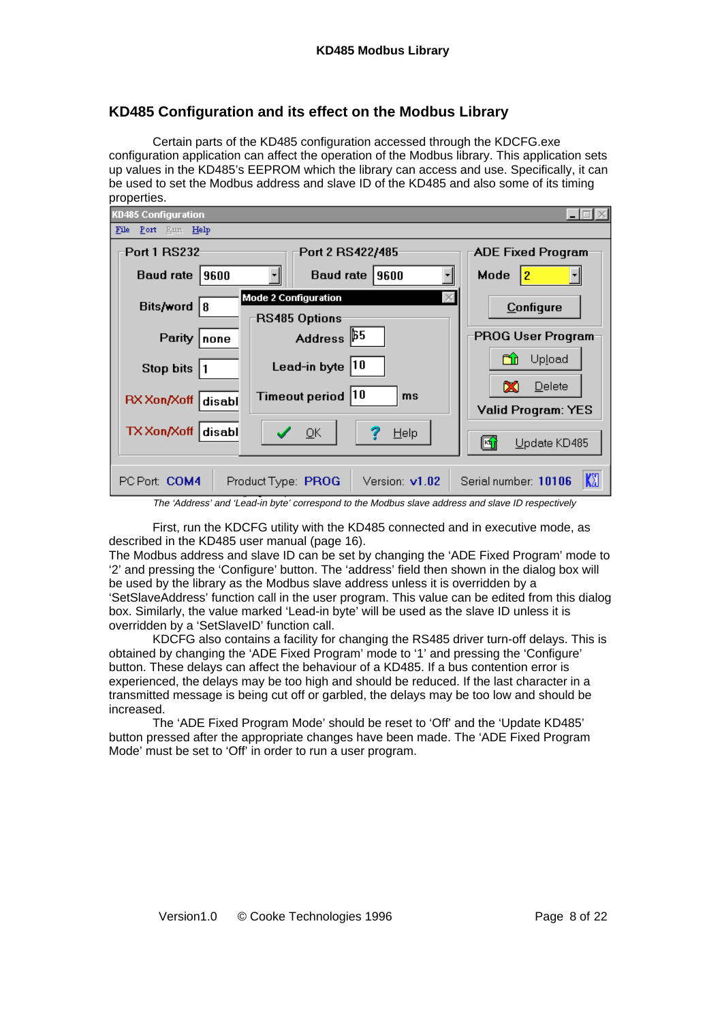# **KD485 Configuration and its effect on the Modbus Library**

Certain parts of the KD485 configuration accessed through the KDCFG.exe configuration application can affect the operation of the Modbus library. This application sets up values in the KD485's EEPROM which the library can access and use. Specifically, it can be used to set the Modbus address and slave ID of the KD485 and also some of its timing properties.

| <b>KD485 Configuration</b> |                                             |                             |
|----------------------------|---------------------------------------------|-----------------------------|
| File<br>Port Eun Help      |                                             |                             |
| Port 1 RS232               | Port 2 RS422/485                            | <b>ADE Fixed Program</b>    |
| Baud rate 19600            | Baud rate 19600                             | Mode<br>12                  |
| Bits/word 8                | $\mathbb{X}$<br><b>Mode 2 Configuration</b> | Configure                   |
|                            | <b>RS485 Options</b>                        |                             |
| Parity   none              | Address <sup>65</sup>                       | PROG User Program           |
| Stop bits  1               | Lead-in byte $ 10$                          | Upload                      |
| RX Xon/Xoff                | Timeout period 10<br>ms                     | х<br>Delete                 |
| disabl                     |                                             | <b>Valid Program: YES</b>   |
| TX Xon/Xoff disabl         | Help<br>QK                                  | 岡<br>Update KD485           |
|                            |                                             |                             |
| PC Port: COM4              | Version: v1.02<br>Product Type: PROG        | KXI<br>Serial number: 10106 |

The 'Address' and 'Lead-in byte' correspond to the Modbus slave address and slave ID respectively

First, run the KDCFG utility with the KD485 connected and in executive mode, as described in the KD485 user manual (page 16).

The Modbus address and slave ID can be set by changing the 'ADE Fixed Program' mode to '2' and pressing the 'Configure' button. The 'address' field then shown in the dialog box will be used by the library as the Modbus slave address unless it is overridden by a 'SetSlaveAddress' function call in the user program. This value can be edited from this dialog box. Similarly, the value marked 'Lead-in byte' will be used as the slave ID unless it is overridden by a 'SetSlaveID' function call.

KDCFG also contains a facility for changing the RS485 driver turn-off delays. This is obtained by changing the 'ADE Fixed Program' mode to '1' and pressing the 'Configure' button. These delays can affect the behaviour of a KD485. If a bus contention error is experienced, the delays may be too high and should be reduced. If the last character in a transmitted message is being cut off or garbled, the delays may be too low and should be increased.

The 'ADE Fixed Program Mode' should be reset to 'Off' and the 'Update KD485' button pressed after the appropriate changes have been made. The 'ADE Fixed Program Mode' must be set to 'Off' in order to run a user program.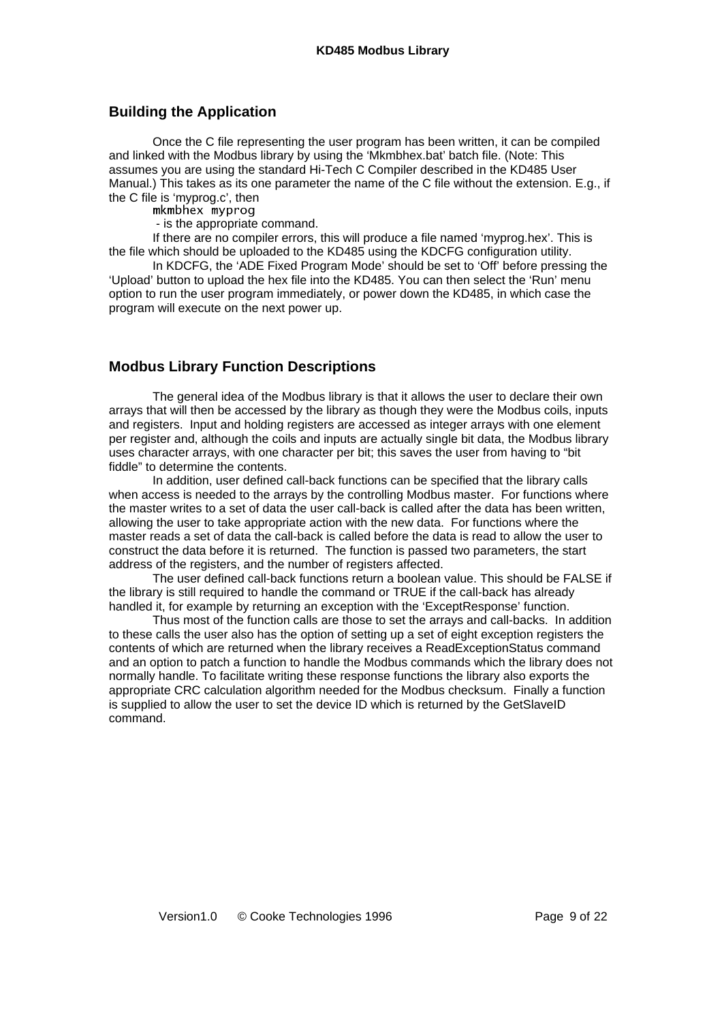# **Building the Application**

Once the C file representing the user program has been written, it can be compiled and linked with the Modbus library by using the 'Mkmbhex.bat' batch file. (Note: This assumes you are using the standard Hi-Tech C Compiler described in the KD485 User Manual.) This takes as its one parameter the name of the C file without the extension. E.g., if the C file is 'myprog.c', then

manners my program<br>- is the appropriate command.

If there are no compiler errors, this will produce a file named 'myprog.hex'. This is the file which should be uploaded to the KD485 using the KDCFG configuration utility.

In KDCFG, the 'ADE Fixed Program Mode' should be set to 'Off' before pressing the 'Upload' button to upload the hex file into the KD485. You can then select the 'Run' menu option to run the user program immediately, or power down the KD485, in which case the program will execute on the next power up.

# **Modbus Library Function Descriptions**

The general idea of the Modbus library is that it allows the user to declare their own arrays that will then be accessed by the library as though they were the Modbus coils, inputs and registers. Input and holding registers are accessed as integer arrays with one element per register and, although the coils and inputs are actually single bit data, the Modbus library uses character arrays, with one character per bit; this saves the user from having to "bit fiddle" to determine the contents.

In addition, user defined call-back functions can be specified that the library calls when access is needed to the arrays by the controlling Modbus master. For functions where the master writes to a set of data the user call-back is called after the data has been written, allowing the user to take appropriate action with the new data. For functions where the master reads a set of data the call-back is called before the data is read to allow the user to construct the data before it is returned. The function is passed two parameters, the start address of the registers, and the number of registers affected.

The user defined call-back functions return a boolean value. This should be FALSE if the library is still required to handle the command or TRUE if the call-back has already handled it, for example by returning an exception with the 'ExceptResponse' function.

Thus most of the function calls are those to set the arrays and call-backs. In addition to these calls the user also has the option of setting up a set of eight exception registers the contents of which are returned when the library receives a ReadExceptionStatus command and an option to patch a function to handle the Modbus commands which the library does not normally handle. To facilitate writing these response functions the library also exports the appropriate CRC calculation algorithm needed for the Modbus checksum. Finally a function is supplied to allow the user to set the device ID which is returned by the GetSlaveID command.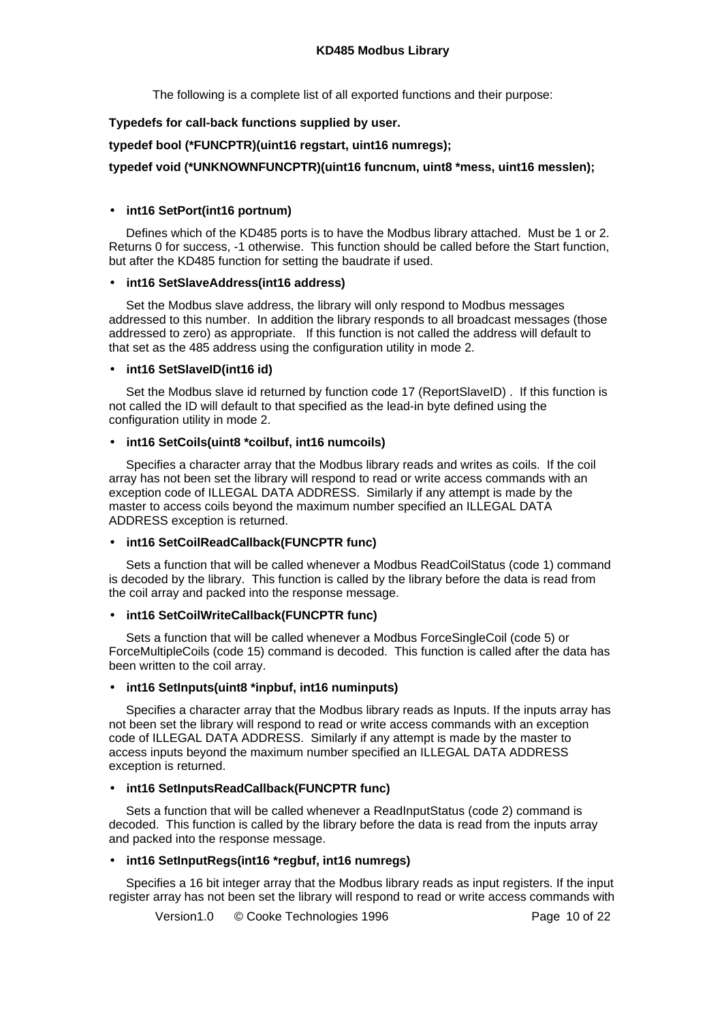The following is a complete list of all exported functions and their purpose:

#### **Typedefs for call-back functions supplied by user.**

#### **typedef bool (\*FUNCPTR)(uint16 regstart, uint16 numregs);**

### **typedef void (\*UNKNOWNFUNCPTR)(uint16 funcnum, uint8 \*mess, uint16 messlen);**

#### • **int16 SetPort(int16 portnum)**

Defines which of the KD485 ports is to have the Modbus library attached. Must be 1 or 2. Returns 0 for success, -1 otherwise. This function should be called before the Start function, but after the KD485 function for setting the baudrate if used.

#### • **int16 SetSlaveAddress(int16 address)**

Set the Modbus slave address, the library will only respond to Modbus messages addressed to this number. In addition the library responds to all broadcast messages (those addressed to zero) as appropriate. If this function is not called the address will default to that set as the 485 address using the configuration utility in mode 2.

#### • **int16 SetSlaveID(int16 id)**

Set the Modbus slave id returned by function code 17 (ReportSlaveID) . If this function is not called the ID will default to that specified as the lead-in byte defined using the configuration utility in mode 2.

#### • **int16 SetCoils(uint8 \*coilbuf, int16 numcoils)**

Specifies a character array that the Modbus library reads and writes as coils. If the coil array has not been set the library will respond to read or write access commands with an exception code of ILLEGAL DATA ADDRESS. Similarly if any attempt is made by the master to access coils beyond the maximum number specified an ILLEGAL DATA ADDRESS exception is returned.

#### • **int16 SetCoilReadCallback(FUNCPTR func)**

Sets a function that will be called whenever a Modbus ReadCoilStatus (code 1) command is decoded by the library. This function is called by the library before the data is read from the coil array and packed into the response message.

#### • **int16 SetCoilWriteCallback(FUNCPTR func)**

Sets a function that will be called whenever a Modbus ForceSingleCoil (code 5) or ForceMultipleCoils (code 15) command is decoded. This function is called after the data has been written to the coil array.

#### • **int16 SetInputs(uint8 \*inpbuf, int16 numinputs)**

Specifies a character array that the Modbus library reads as Inputs. If the inputs array has not been set the library will respond to read or write access commands with an exception code of ILLEGAL DATA ADDRESS. Similarly if any attempt is made by the master to access inputs beyond the maximum number specified an ILLEGAL DATA ADDRESS exception is returned.

#### • **int16 SetInputsReadCallback(FUNCPTR func)**

Sets a function that will be called whenever a ReadInputStatus (code 2) command is decoded. This function is called by the library before the data is read from the inputs array and packed into the response message.

#### • **int16 SetInputRegs(int16 \*regbuf, int16 numregs)**

Specifies a 16 bit integer array that the Modbus library reads as input registers. If the input register array has not been set the library will respond to read or write access commands with

Version1.0 © Cooke Technologies 1996 Page 10 of 22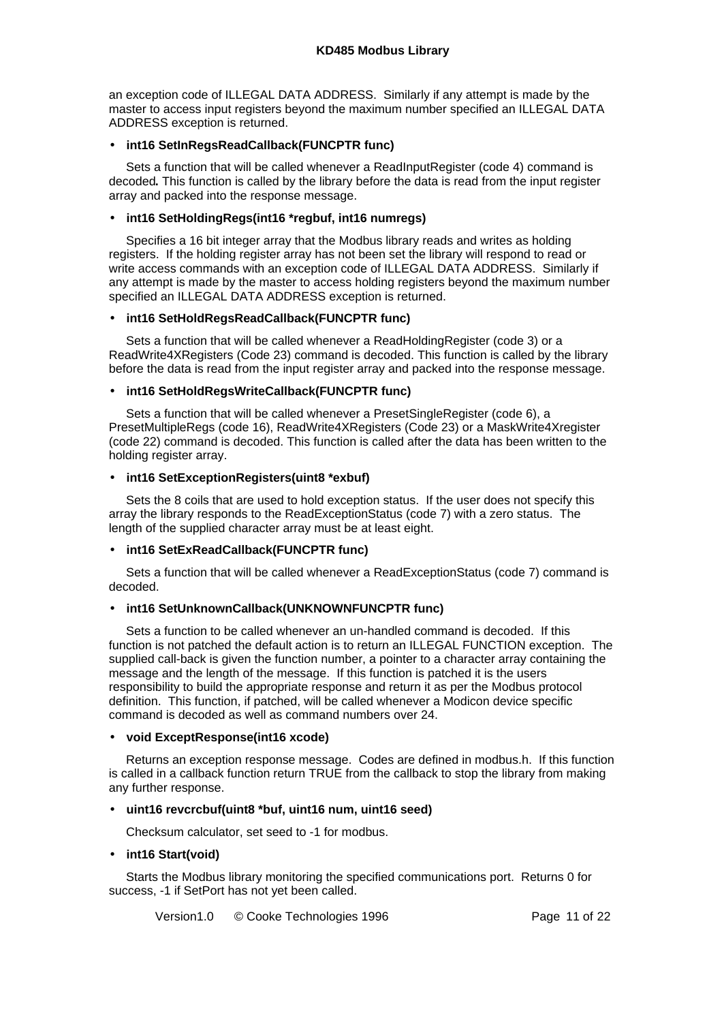an exception code of ILLEGAL DATA ADDRESS. Similarly if any attempt is made by the master to access input registers beyond the maximum number specified an ILLEGAL DATA ADDRESS exception is returned.

#### • **int16 SetInRegsReadCallback(FUNCPTR func)**

Sets a function that will be called whenever a ReadInputRegister (code 4) command is decoded**.** This function is called by the library before the data is read from the input register array and packed into the response message.

#### • **int16 SetHoldingRegs(int16 \*regbuf, int16 numregs)**

Specifies a 16 bit integer array that the Modbus library reads and writes as holding registers. If the holding register array has not been set the library will respond to read or write access commands with an exception code of ILLEGAL DATA ADDRESS. Similarly if any attempt is made by the master to access holding registers beyond the maximum number specified an ILLEGAL DATA ADDRESS exception is returned.

#### • **int16 SetHoldRegsReadCallback(FUNCPTR func)**

Sets a function that will be called whenever a ReadHoldingRegister (code 3) or a ReadWrite4XRegisters (Code 23) command is decoded. This function is called by the library before the data is read from the input register array and packed into the response message.

#### • **int16 SetHoldRegsWriteCallback(FUNCPTR func)**

Sets a function that will be called whenever a PresetSingleRegister (code 6), a PresetMultipleRegs (code 16), ReadWrite4XRegisters (Code 23) or a MaskWrite4Xregister (code 22) command is decoded. This function is called after the data has been written to the holding register array.

#### • **int16 SetExceptionRegisters(uint8 \*exbuf)**

Sets the 8 coils that are used to hold exception status. If the user does not specify this array the library responds to the ReadExceptionStatus (code 7) with a zero status. The length of the supplied character array must be at least eight.

#### • **int16 SetExReadCallback(FUNCPTR func)**

Sets a function that will be called whenever a ReadExceptionStatus (code 7) command is decoded.

#### • **int16 SetUnknownCallback(UNKNOWNFUNCPTR func)**

Sets a function to be called whenever an un-handled command is decoded. If this function is not patched the default action is to return an ILLEGAL FUNCTION exception. The supplied call-back is given the function number, a pointer to a character array containing the message and the length of the message. If this function is patched it is the users responsibility to build the appropriate response and return it as per the Modbus protocol definition. This function, if patched, will be called whenever a Modicon device specific command is decoded as well as command numbers over 24.

#### • **void ExceptResponse(int16 xcode)**

Returns an exception response message. Codes are defined in modbus.h. If this function is called in a callback function return TRUE from the callback to stop the library from making any further response.

#### • **uint16 revcrcbuf(uint8 \*buf, uint16 num, uint16 seed)**

Checksum calculator, set seed to -1 for modbus.

#### • **int16 Start(void)**

Starts the Modbus library monitoring the specified communications port. Returns 0 for success, -1 if SetPort has not yet been called.

Version1.0 © Cooke Technologies 1996 Page 11 of 22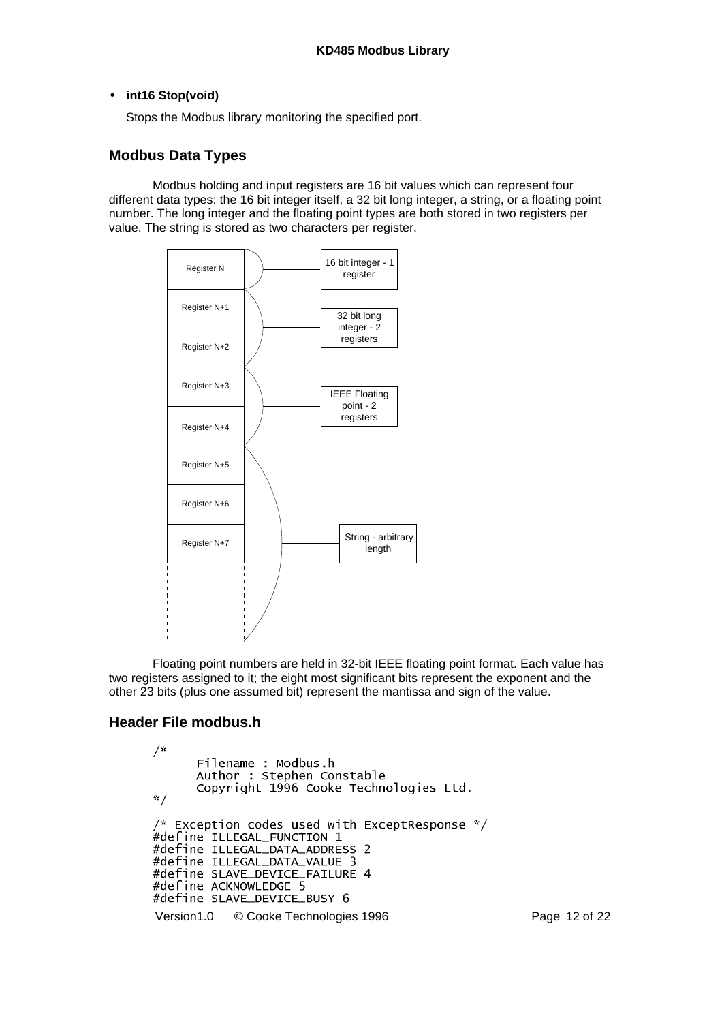### • **int16 Stop(void)**

Stops the Modbus library monitoring the specified port.

# **Modbus Data Types**

Modbus holding and input registers are 16 bit values which can represent four different data types: the 16 bit integer itself, a 32 bit long integer, a string, or a floating point number. The long integer and the floating point types are both stored in two registers per value. The string is stored as two characters per register.



Floating point numbers are held in 32-bit IEEE floating point format. Each value has two registers assigned to it; the eight most significant bits represent the exponent and the other 23 bits (plus one assumed bit) represent the mantissa and sign of the value.

# **Header File modbus.h**

```
Version1.0 © Cooke Technologies 1996 Page 12 of 22
/*
      Filename : Modbus.h
     Author: Stephen Constable
\kappa Copyright 1996 Cooke Technologies Ltd.
/* Exception codes used with ExceptResponse */#define ILLEGAL_FUNCTION 1
#define ILLEGAL_DATA_ADDRESS 2
#define ILLEGAL_DATA_VALUE 3
#define SLAVE_DEVICE_FAILURE 4
#define ACKNOWLEDGE 5
#define SLAVE_DEVICE_BUSY 6
```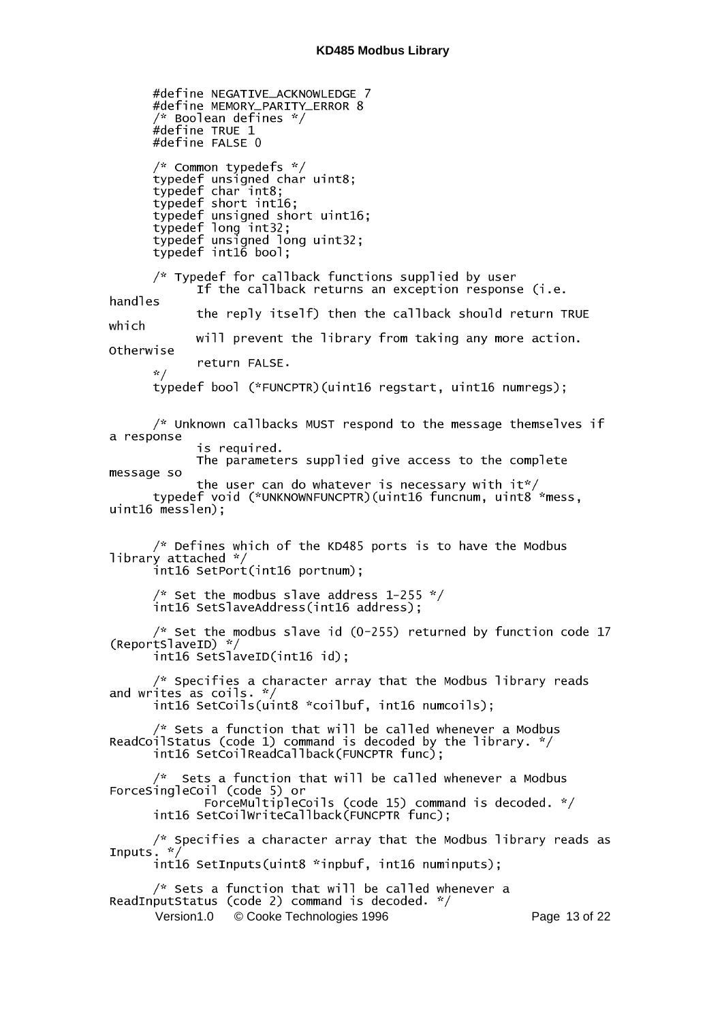#define NEGATIVE\_ACKNOWLEDGE 7 #define MEMORY PARITY ERROR 8  $x$  Boolean defines  $x$ ,<br>#define TRUE 1 add....<br>#define FALSE 0  $/*$  Common typedefs  $*/$ typedef unsigned char uint8:  $t$ vpedef char  $int8$ :  $t$ vpedef short  $int16$ : Expedit Entertainment of the type definition.  $\frac{1}{2}$ wheedef long int32: typedef unsigned long uint32:  $\frac{1}{2}$  wheelef  $\frac{1}{2}$  int $\frac{1}{2}$  bool:  $7$ <sup>\*</sup> Typedef for callback functions supplied by user If the callback returns an exception response (i.e. handles the reply itself) then the callback should return TRUE  $which$ will prevent the library from taking any more action. Otherwise return FALSE.  $\frac{1}{2}$ typedef bool (\*FUNCPTR)(uint16 regstart, uint16 numregs);  $/*$  Unknown callbacks MUST respond to the message themselves if a response is required. The parameters supplied give access to the complete message so the user can do whatever is necessary with  $it*/$ typedef void (\*UNKNOWNFUNCPTR) (uint16 funcnum, uint8 \*mess,  $u$ int16 messlen $):$ /\* Defines which of the KD485 ports is to have the Modbus<br>library attached \*/  $int16$  SetPort(int16 portnum); /\* Set the modbus slave address 1-255  $*/$  $int16$  SetSlaveAddress(int16 address); /\* Set the modbus slave id (0-255) returned by function code 17  $(ReportslaweID)$  \*/  $int16$  SetSlaveID(int16 id);  $/*$  Specifies a character array that the Modbus library reads and writes as coils.  $*/$ int16 SetCoils(uint8 \*coilbuf, int16 numcoils):  $/*$  Sets a function that will be called whenever a Modbus ReadCojlStatus (code 1) command is decoded by the library.  $*/$ int16 SetCoilReadCallback(FUNCPTR func):  $\frac{4}{3}$  Sets a function that will be called whenever a Modbus ForceS1ngleCoil (code 5) or ForceMultipleCoils (code 15) command is decoded.  $*/$ int16 SetCoilWriteCallback(FUNCPTR func):  $\sqrt{\dot{x}}$  Specifies a character array that the Modbus library reads as Inputs,  $\sqrt[k]{}$  $int16$  SetInputs(uint8 \*inpbuf, int16 numinputs);  $\sqrt{\dot{x}}$  Sets a function that will be called whenever a ReadInputStatus (code 2) command is decoded.  $*/$ 

Version1.0 © Cooke Technologies 1996 Page 13 of 22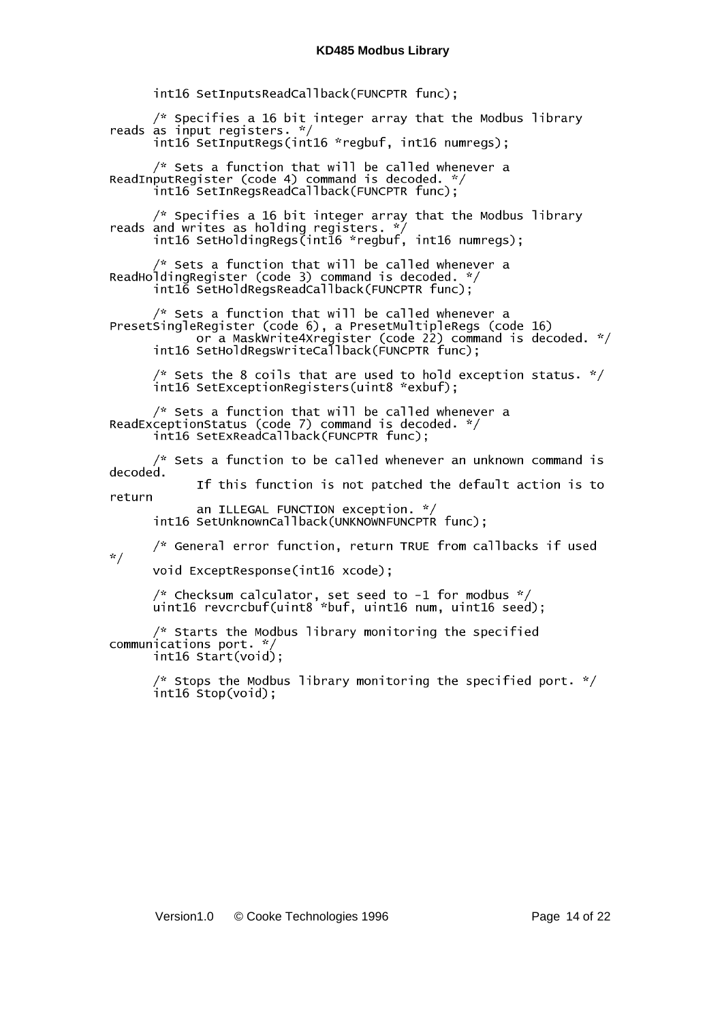int16 SetInputsReadCallback(FUNCPTR func);

 $\frac{1}{8}$  Specifies a 16 bit integer array that the Modbus library  $\frac{1}{2}$  reads as input registers. \*/ int16 SetInputReas(int16 \*reabuf. int16 numreas):

 $\sqrt{\dot{x}}$  Sets a function that will be called whenever a ReadInputRegister (code 4) command is decoded.  $*/$ int16 SetInRegsReadCallback(FUNCPTR func);

/ $*$  Specifies a 16 bit integer array that the Modbus library reads and writes as holding registers.  $*/$ int16 SetHoldingReas(int16 \*reabuf, int16 numreas):

 $\sqrt{*}$  Sets a function that will be called whenever a ReadHoldingRegister (code 3) command is decoded.  $*/$ int16 SetHoldReasReadCallback(FUNCPTR func):

 $\frac{1}{2}$  Sets a function that will be called whenever a PresetSingleRegister (code 6), a PresetMultipleRegs (code 16) night in Norman Boron Community Process Command is decoded. \*/ int16 SetHoldReasWriteCallback(FUNCPTR func):

/\* Sets the 8 coils that are used to hold exception status. \*/ int16 SetExceptionRegisters(uint8 \*exbuf);

 $/*$  Sets a function that will be called whenever a  $ReadExceptionStatus (code 7) command is decoded. */$ int16 SetExReadCallback(FUNCPTR func):

 $\frac{1}{2}$  Sets a function to be called whenever an unknown command is decoded.

If this function is not patched the default action is to

an ILLEGAL FUNCTION exception. \*/ int16 SetUnknownCallback(UNKNOWNFUNCPTR func);

return

 $\star$  /

 $/*$  General error function, return TRUE from callbacks if used void ExceptResponse(int16 xcode);

 $/*$  Checksum calculator, set seed to -1 for modbus  $*/$  $\mu$ int16 revcrcbuf(uint8 $^{'*}$ buf. uint16 num. uint16 seed):

 $/*$  Starts the Modbus library monitoring the specified communications port.  $*$  $int16 \text{ Start}(void)$ :

/\* Stops the Modbus library monitoring the specified port.  $*/$  $int16$  stop(void);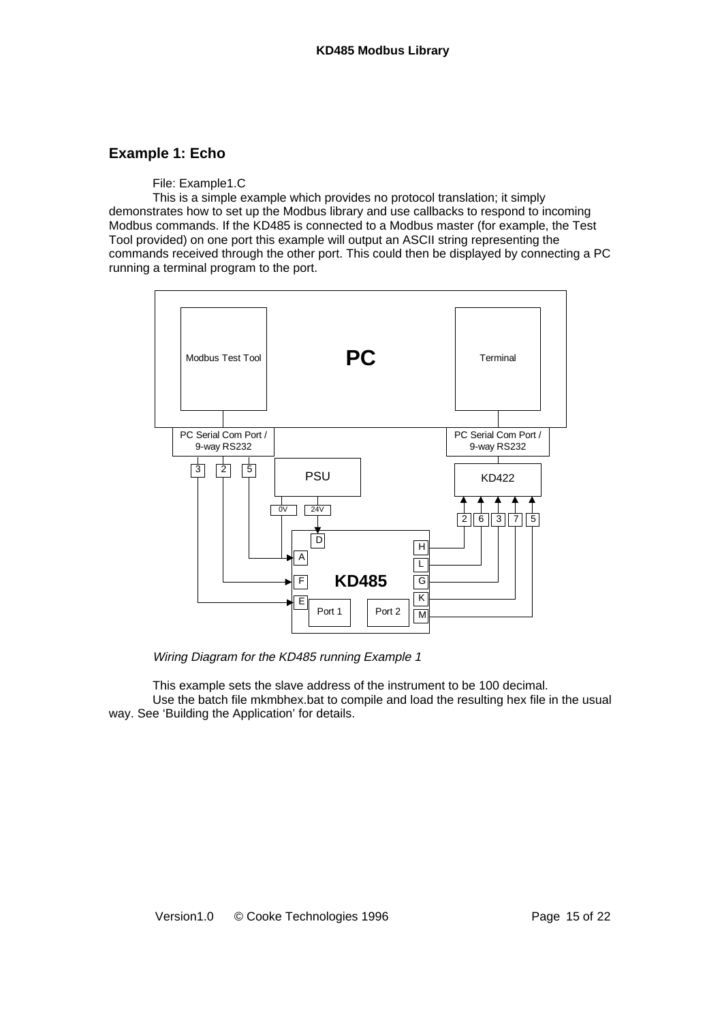# **Example 1: Echo**

File: Example1.C

This is a simple example which provides no protocol translation; it simply demonstrates how to set up the Modbus library and use callbacks to respond to incoming Modbus commands. If the KD485 is connected to a Modbus master (for example, the Test Tool provided) on one port this example will output an ASCII string representing the commands received through the other port. This could then be displayed by connecting a PC running a terminal program to the port.



Wiring Diagram for the KD485 running Example 1

This example sets the slave address of the instrument to be 100 decimal. Use the batch file mkmbhex.bat to compile and load the resulting hex file in the usual

way. See 'Building the Application' for details.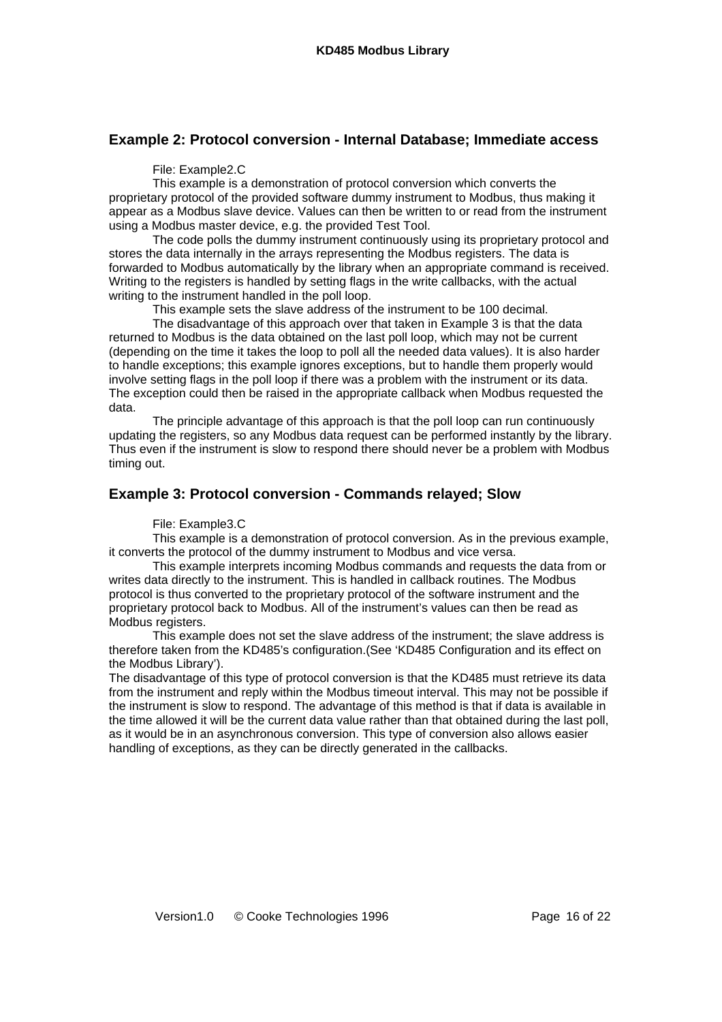### **Example 2: Protocol conversion - Internal Database; Immediate access**

#### File: Example2.C

This example is a demonstration of protocol conversion which converts the proprietary protocol of the provided software dummy instrument to Modbus, thus making it appear as a Modbus slave device. Values can then be written to or read from the instrument using a Modbus master device, e.g. the provided Test Tool.

The code polls the dummy instrument continuously using its proprietary protocol and stores the data internally in the arrays representing the Modbus registers. The data is forwarded to Modbus automatically by the library when an appropriate command is received. Writing to the registers is handled by setting flags in the write callbacks, with the actual writing to the instrument handled in the poll loop.

This example sets the slave address of the instrument to be 100 decimal.

The disadvantage of this approach over that taken in Example 3 is that the data returned to Modbus is the data obtained on the last poll loop, which may not be current (depending on the time it takes the loop to poll all the needed data values). It is also harder to handle exceptions; this example ignores exceptions, but to handle them properly would involve setting flags in the poll loop if there was a problem with the instrument or its data. The exception could then be raised in the appropriate callback when Modbus requested the data.

The principle advantage of this approach is that the poll loop can run continuously updating the registers, so any Modbus data request can be performed instantly by the library. Thus even if the instrument is slow to respond there should never be a problem with Modbus timing out.

### **Example 3: Protocol conversion - Commands relayed; Slow**

#### File: Example3.C

This example is a demonstration of protocol conversion. As in the previous example, it converts the protocol of the dummy instrument to Modbus and vice versa.

This example interprets incoming Modbus commands and requests the data from or writes data directly to the instrument. This is handled in callback routines. The Modbus protocol is thus converted to the proprietary protocol of the software instrument and the proprietary protocol back to Modbus. All of the instrument's values can then be read as Modbus registers.

This example does not set the slave address of the instrument; the slave address is therefore taken from the KD485's configuration.(See 'KD485 Configuration and its effect on the Modbus Library').

The disadvantage of this type of protocol conversion is that the KD485 must retrieve its data from the instrument and reply within the Modbus timeout interval. This may not be possible if the instrument is slow to respond. The advantage of this method is that if data is available in the time allowed it will be the current data value rather than that obtained during the last poll, as it would be in an asynchronous conversion. This type of conversion also allows easier handling of exceptions, as they can be directly generated in the callbacks.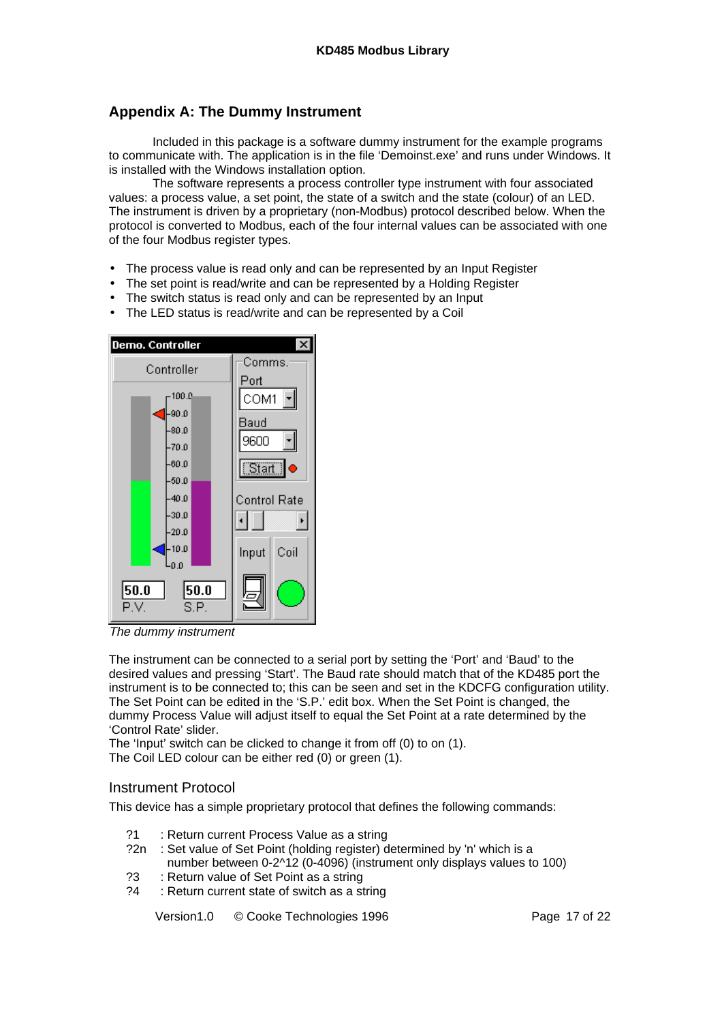# **Appendix A: The Dummy Instrument**

Included in this package is a software dummy instrument for the example programs to communicate with. The application is in the file 'Demoinst.exe' and runs under Windows. It is installed with the Windows installation option.

The software represents a process controller type instrument with four associated values: a process value, a set point, the state of a switch and the state (colour) of an LED. The instrument is driven by a proprietary (non-Modbus) protocol described below. When the protocol is converted to Modbus, each of the four internal values can be associated with one of the four Modbus register types.

- The process value is read only and can be represented by an Input Register
- The set point is read/write and can be represented by a Holding Register
- The switch status is read only and can be represented by an Input
- The LED status is read/write and can be represented by a Coil



The dummy instrument

The instrument can be connected to a serial port by setting the 'Port' and 'Baud' to the desired values and pressing 'Start'. The Baud rate should match that of the KD485 port the instrument is to be connected to; this can be seen and set in the KDCFG configuration utility. The Set Point can be edited in the 'S.P.' edit box. When the Set Point is changed, the dummy Process Value will adjust itself to equal the Set Point at a rate determined by the 'Control Rate' slider.

The 'Input' switch can be clicked to change it from off (0) to on (1). The Coil LED colour can be either red (0) or green (1).

# Instrument Protocol

This device has a simple proprietary protocol that defines the following commands:

- ?1 : Return current Process Value as a string
- ?2n : Set value of Set Point (holding register) determined by 'n' which is a number between 0-2^12 (0-4096) (instrument only displays values to 100)
- ?3 : Return value of Set Point as a string
- ?4 : Return current state of switch as a string

Version1.0 © Cooke Technologies 1996 Page 17 of 22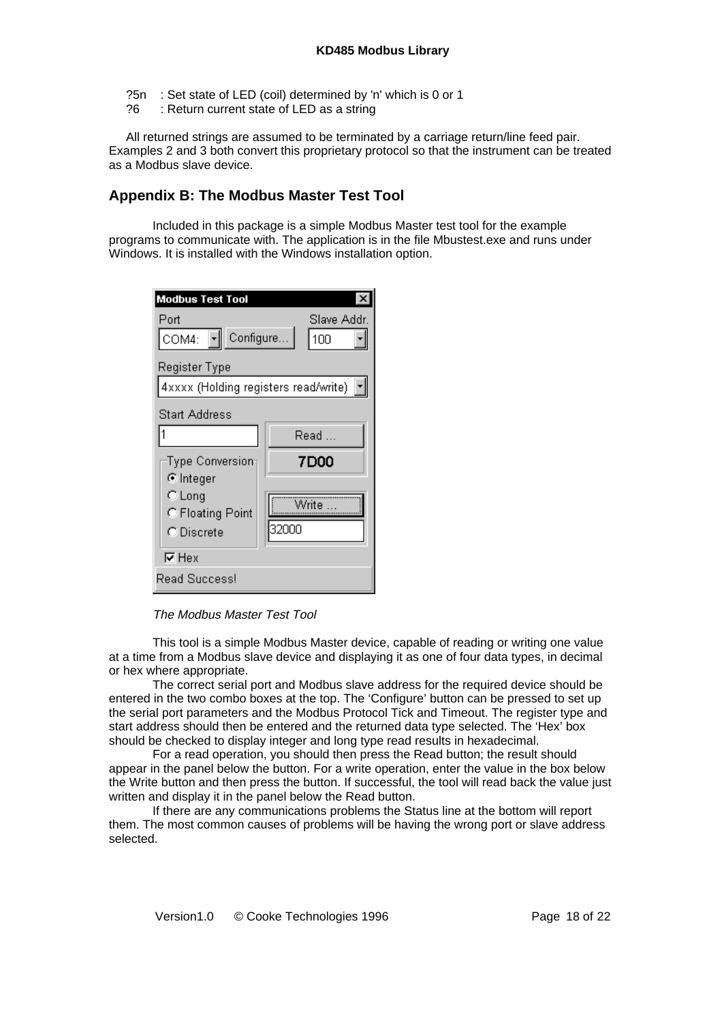- ?5n : Set state of LED (coil) determined by 'n' which is 0 or 1
- ?6 : Return current state of LED as a string

All returned strings are assumed to be terminated by a carriage return/line feed pair. Examples 2 and 3 both convert this proprietary protocol so that the instrument can be treated as a Modbus slave device.

# **Appendix B: The Modbus Master Test Tool**

Included in this package is a simple Modbus Master test tool for the example programs to communicate with. The application is in the file Mbustest.exe and runs under Windows. It is installed with the Windows installation option.

| <b>Modbus Test Tool</b>                               |             |  |  |
|-------------------------------------------------------|-------------|--|--|
| Slave Addr.<br>Port<br>COM4:  -    Configure  <br>100 |             |  |  |
| Register Type                                         |             |  |  |
| 4xxxx (Holding registers read/write)                  |             |  |  |
| Start Address                                         |             |  |  |
|                                                       | Read        |  |  |
| ${\sf Type}$ Conversion $_{\exists}$<br>⊕ Integer     | <b>7D00</b> |  |  |
| $\mathbb C$ Long<br>C Floating Point                  | Write       |  |  |
| C Discrete                                            | 32000       |  |  |
| $\overline{\triangledown}$ Hex                        |             |  |  |
| Read Success!                                         |             |  |  |



This tool is a simple Modbus Master device, capable of reading or writing one value at a time from a Modbus slave device and displaying it as one of four data types, in decimal or hex where appropriate.

The correct serial port and Modbus slave address for the required device should be entered in the two combo boxes at the top. The 'Configure' button can be pressed to set up the serial port parameters and the Modbus Protocol Tick and Timeout. The register type and start address should then be entered and the returned data type selected. The 'Hex' box should be checked to display integer and long type read results in hexadecimal.

For a read operation, you should then press the Read button; the result should appear in the panel below the button. For a write operation, enter the value in the box below the Write button and then press the button. If successful, the tool will read back the value just written and display it in the panel below the Read button.

If there are any communications problems the Status line at the bottom will report them. The most common causes of problems will be having the wrong port or slave address selected.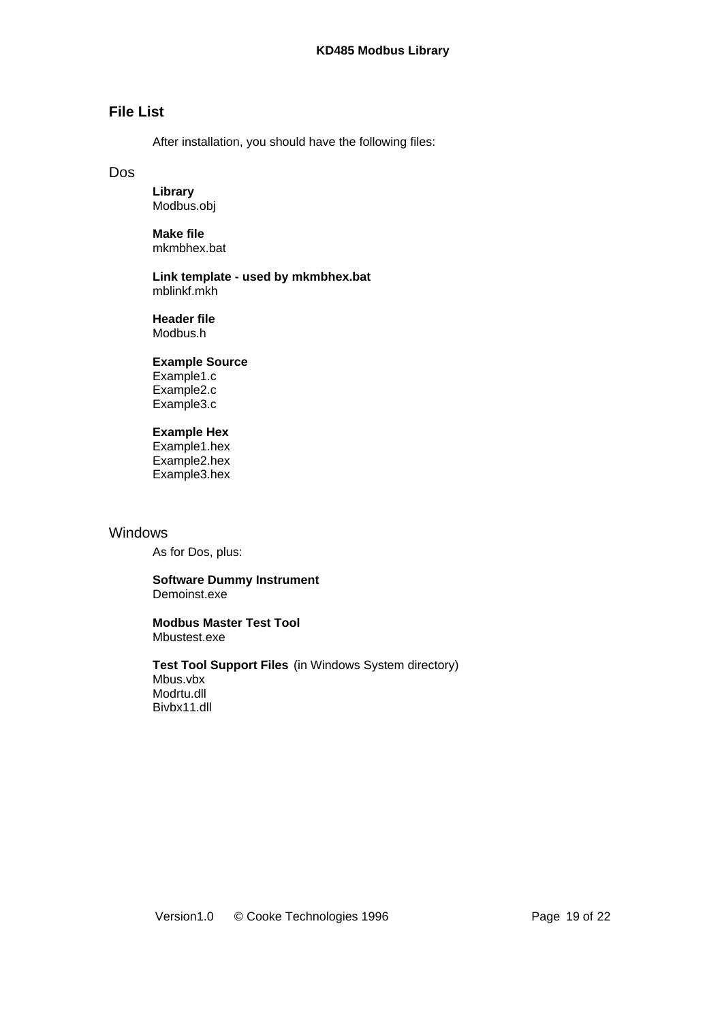# **File List**

After installation, you should have the following files:

### Dos

**Library** Modbus.obj

**Make file** mkmbhex.bat

**Link template - used by mkmbhex.bat** mblinkf.mkh

**Header file** Modbus.h

#### **Example Source**

Example1.c Example2.c Example3.c

#### **Example Hex**

Example1.hex Example2.hex Example3.hex

#### Windows

As for Dos, plus:

### **Software Dummy Instrument** Demoinst.exe

**Modbus Master Test Tool** Mbustest.exe

**Test Tool Support Files** (in Windows System directory) Mbus.vbx Modrtu.dll Bivbx11.dll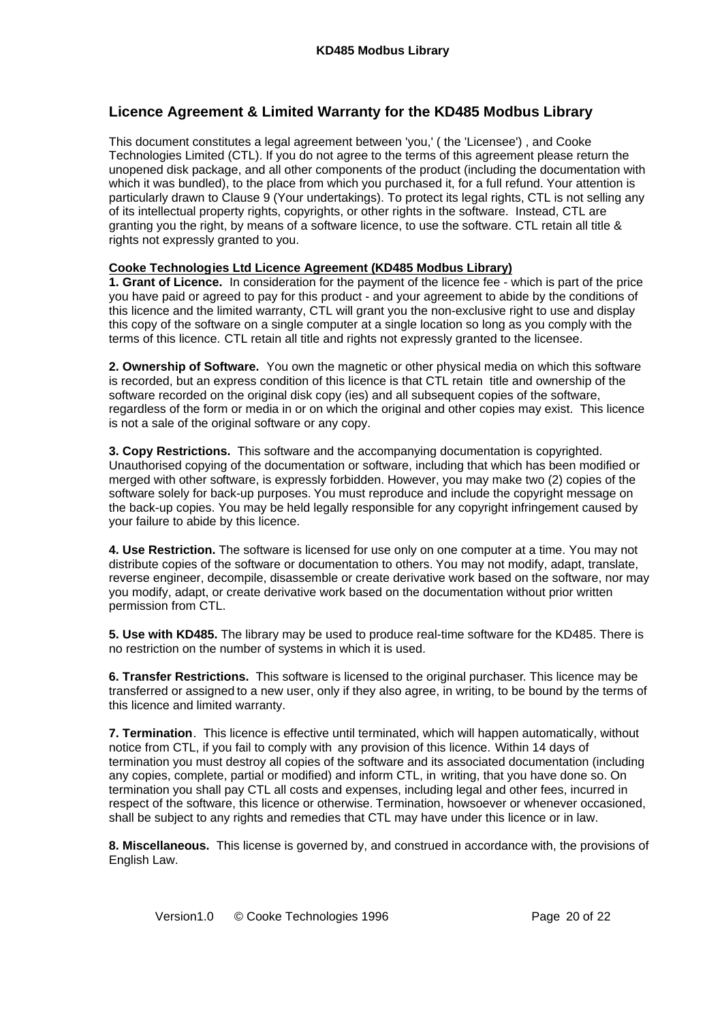# **Licence Agreement & Limited Warranty for the KD485 Modbus Library**

This document constitutes a legal agreement between 'you,' ( the 'Licensee') , and Cooke Technologies Limited (CTL). If you do not agree to the terms of this agreement please return the unopened disk package, and all other components of the product (including the documentation with which it was bundled), to the place from which you purchased it, for a full refund. Your attention is particularly drawn to Clause 9 (Your undertakings). To protect its legal rights, CTL is not selling any of its intellectual property rights, copyrights, or other rights in the software. Instead, CTL are granting you the right, by means of a software licence, to use the software. CTL retain all title & rights not expressly granted to you.

#### **Cooke Technologies Ltd Licence Agreement (KD485 Modbus Library)**

**1. Grant of Licence.** In consideration for the payment of the licence fee - which is part of the price you have paid or agreed to pay for this product - and your agreement to abide by the conditions of this licence and the limited warranty, CTL will grant you the non-exclusive right to use and display this copy of the software on a single computer at a single location so long as you comply with the terms of this licence. CTL retain all title and rights not expressly granted to the licensee.

**2. Ownership of Software.** You own the magnetic or other physical media on which this software is recorded, but an express condition of this licence is that CTL retain title and ownership of the software recorded on the original disk copy (ies) and all subsequent copies of the software. regardless of the form or media in or on which the original and other copies may exist. This licence is not a sale of the original software or any copy.

**3. Copy Restrictions.** This software and the accompanying documentation is copyrighted. Unauthorised copying of the documentation or software, including that which has been modified or merged with other software, is expressly forbidden. However, you may make two (2) copies of the software solely for back-up purposes. You must reproduce and include the copyright message on the back-up copies. You may be held legally responsible for any copyright infringement caused by your failure to abide by this licence.

**4. Use Restriction.** The software is licensed for use only on one computer at a time. You may not distribute copies of the software or documentation to others. You may not modify, adapt, translate, reverse engineer, decompile, disassemble or create derivative work based on the software, nor may you modify, adapt, or create derivative work based on the documentation without prior written permission from CTL.

**5. Use with KD485.** The library may be used to produce real-time software for the KD485. There is no restriction on the number of systems in which it is used.

**6. Transfer Restrictions.** This software is licensed to the original purchaser. This licence may be transferred or assigned to a new user, only if they also agree, in writing, to be bound by the terms of this licence and limited warranty.

**7. Termination**. This licence is effective until terminated, which will happen automatically, without notice from CTL, if you fail to comply with any provision of this licence. Within 14 days of termination you must destroy all copies of the software and its associated documentation (including any copies, complete, partial or modified) and inform CTL, in writing, that you have done so. On termination you shall pay CTL all costs and expenses, including legal and other fees, incurred in respect of the software, this licence or otherwise. Termination, howsoever or whenever occasioned, shall be subject to any rights and remedies that CTL may have under this licence or in law.

**8. Miscellaneous.** This license is governed by, and construed in accordance with, the provisions of English Law.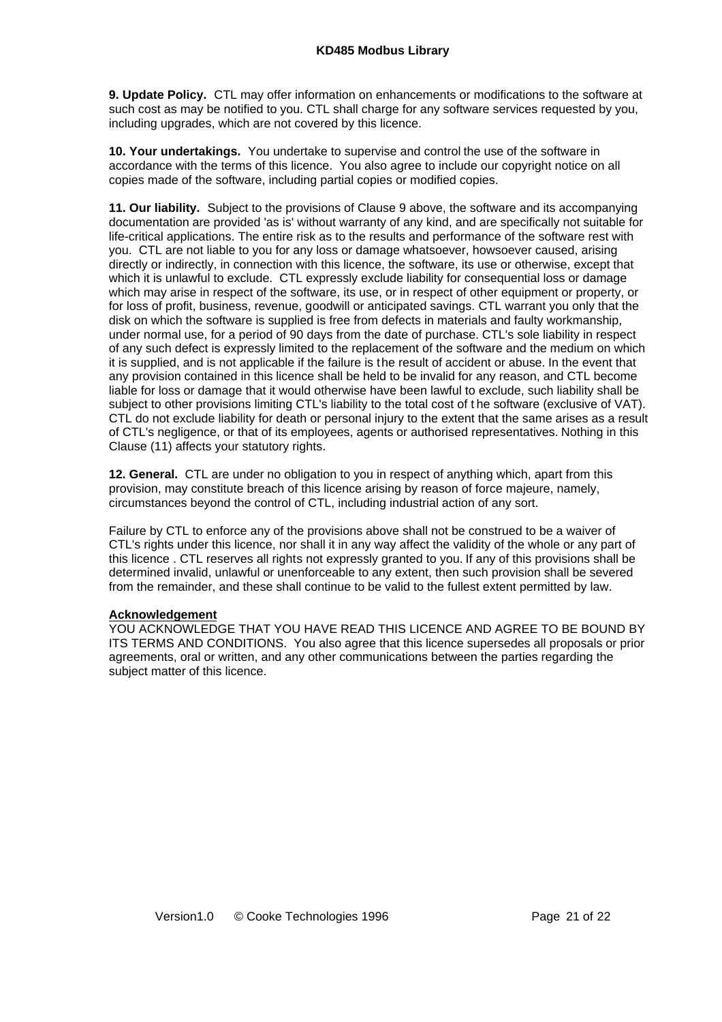**9. Update Policy.** CTL may offer information on enhancements or modifications to the software at such cost as may be notified to you. CTL shall charge for any software services requested by you, including upgrades, which are not covered by this licence.

**10. Your undertakings.** You undertake to supervise and control the use of the software in accordance with the terms of this licence. You also agree to include our copyright notice on all copies made of the software, including partial copies or modified copies.

**11. Our liability.** Subject to the provisions of Clause 9 above, the software and its accompanying documentation are provided 'as is' without warranty of any kind, and are specifically not suitable for life-critical applications. The entire risk as to the results and performance of the software rest with you. CTL are not liable to you for any loss or damage whatsoever, howsoever caused, arising directly or indirectly, in connection with this licence, the software, its use or otherwise, except that which it is unlawful to exclude. CTL expressly exclude liability for consequential loss or damage which may arise in respect of the software, its use, or in respect of other equipment or property, or for loss of profit, business, revenue, goodwill or anticipated savings. CTL warrant you only that the disk on which the software is supplied is free from defects in materials and faulty workmanship, under normal use, for a period of 90 days from the date of purchase. CTL's sole liability in respect of any such defect is expressly limited to the replacement of the software and the medium on which it is supplied, and is not applicable if the failure is the result of accident or abuse. In the event that any provision contained in this licence shall be held to be invalid for any reason, and CTL become liable for loss or damage that it would otherwise have been lawful to exclude, such liability shall be subject to other provisions limiting CTL's liability to the total cost of t he software (exclusive of VAT). CTL do not exclude liability for death or personal injury to the extent that the same arises as a result of CTL's negligence, or that of its employees, agents or authorised representatives. Nothing in this Clause (11) affects your statutory rights.

**12. General.** CTL are under no obligation to you in respect of anything which, apart from this provision, may constitute breach of this licence arising by reason of force majeure, namely, circumstances beyond the control of CTL, including industrial action of any sort.

Failure by CTL to enforce any of the provisions above shall not be construed to be a waiver of CTL's rights under this licence, nor shall it in any way affect the validity of the whole or any part of this licence . CTL reserves all rights not expressly granted to you. If any of this provisions shall be determined invalid, unlawful or unenforceable to any extent, then such provision shall be severed from the remainder, and these shall continue to be valid to the fullest extent permitted by law.

#### **Acknowledgement**

YOU ACKNOWLEDGE THAT YOU HAVE READ THIS LICENCE AND AGREE TO BE BOUND BY ITS TERMS AND CONDITIONS. You also agree that this licence supersedes all proposals or prior agreements, oral or written, and any other communications between the parties regarding the subject matter of this licence.